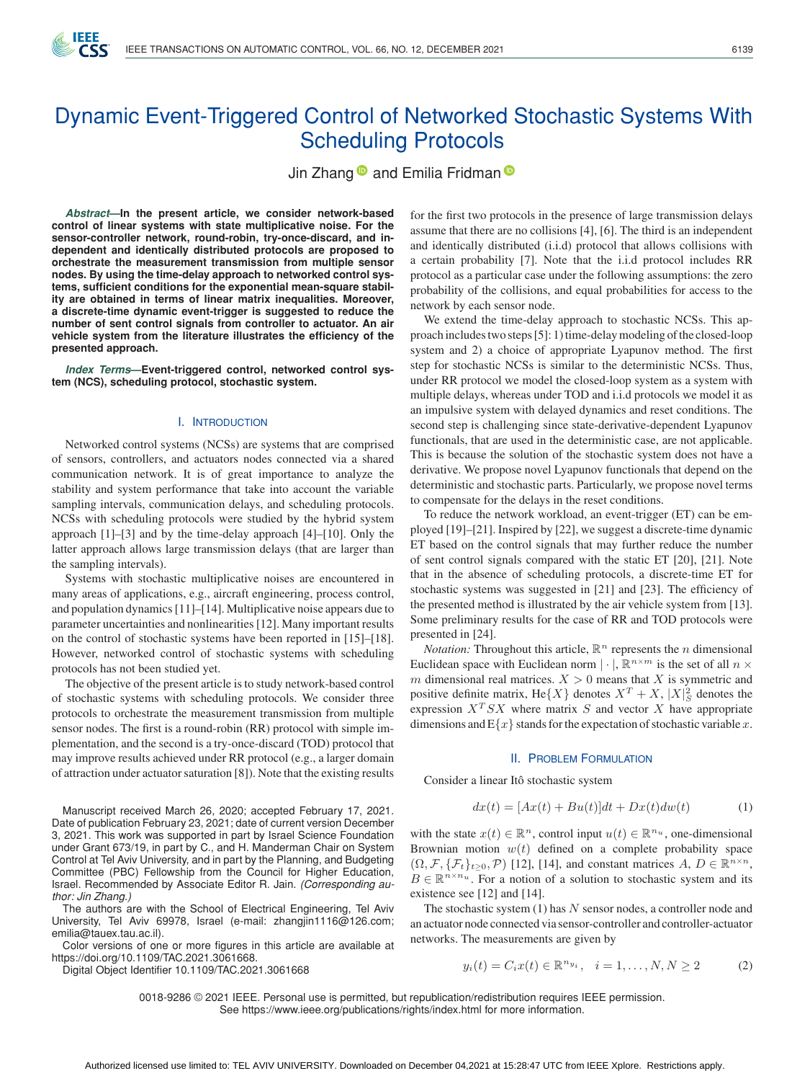

# Dynamic Event-Triggered Control of Networked Stochastic Systems With Scheduling Protocols

Jin Zhang<sup>®</sup> and Emilia Fridman<sup>®</sup>

*Abstract***—In the present article, we consider network-based control of linear systems with state multiplicative noise. For the sensor-controller network, round-robin, try-once-discard, and independent and identically distributed protocols are proposed to orchestrate the measurement transmission from multiple sensor nodes. By using the time-delay approach to networked control systems, sufficient conditions for the exponential mean-square stability are obtained in terms of linear matrix inequalities. Moreover, a discrete-time dynamic event-trigger is suggested to reduce the number of sent control signals from controller to actuator. An air vehicle system from the literature illustrates the efficiency of the presented approach.**

*Index Terms***—Event-triggered control, networked control system (NCS), scheduling protocol, stochastic system.**

#### I. INTRODUCTION

Networked control systems (NCSs) are systems that are comprised of sensors, controllers, and actuators nodes connected via a shared communication network. It is of great importance to analyze the stability and system performance that take into account the variable sampling intervals, communication delays, and scheduling protocols. NCSs with scheduling protocols were studied by the hybrid system approach [1]–[3] and by the time-delay approach [4]–[10]. Only the latter approach allows large transmission delays (that are larger than the sampling intervals).

Systems with stochastic multiplicative noises are encountered in many areas of applications, e.g., aircraft engineering, process control, and population dynamics [11]–[14]. Multiplicative noise appears due to parameter uncertainties and nonlinearities [12]. Many important results on the control of stochastic systems have been reported in [15]–[18]. However, networked control of stochastic systems with scheduling protocols has not been studied yet.

The objective of the present article is to study network-based control of stochastic systems with scheduling protocols. We consider three protocols to orchestrate the measurement transmission from multiple sensor nodes. The first is a round-robin (RR) protocol with simple implementation, and the second is a try-once-discard (TOD) protocol that may improve results achieved under RR protocol (e.g., a larger domain of attraction under actuator saturation [8]). Note that the existing results

Manuscript received March 26, 2020; accepted February 17, 2021. Date of publication February 23, 2021; date of current version December 3, 2021. This work was supported in part by Israel Science Foundation under Grant 673/19, in part by C., and H. Manderman Chair on System Control at Tel Aviv University, and in part by the Planning, and Budgeting Committee (PBC) Fellowship from the Council for Higher Education, Israel. Recommended by Associate Editor R. Jain. *(Corresponding author: Jin Zhang.)*

The authors are with the School of Electrical Engineering, Tel Aviv University, Tel Aviv 69978, Israel (e-mail: [zhangjin1116@126.com;](mailto:zhangjin1116@126.com) [emilia@tauex.tau.ac.il\)](mailto:emilia@tauex.tau.ac.il).

Color versions of one or more figures in this article are available at [https://doi.org/10.1109/TAC.2021.3061668.](https://doi.org/10.1109/TAC.2021.3061668)

Digital Object Identifier 10.1109/TAC.2021.3061668

for the first two protocols in the presence of large transmission delays assume that there are no collisions [4], [6]. The third is an independent and identically distributed (i.i.d) protocol that allows collisions with a certain probability [7]. Note that the i.i.d protocol includes RR protocol as a particular case under the following assumptions: the zero probability of the collisions, and equal probabilities for access to the network by each sensor node.

We extend the time-delay approach to stochastic NCSs. This approach includes two steps [5]: 1) time-delay modeling of the closed-loop system and 2) a choice of appropriate Lyapunov method. The first step for stochastic NCSs is similar to the deterministic NCSs. Thus, under RR protocol we model the closed-loop system as a system with multiple delays, whereas under TOD and i.i.d protocols we model it as an impulsive system with delayed dynamics and reset conditions. The second step is challenging since state-derivative-dependent Lyapunov functionals, that are used in the deterministic case, are not applicable. This is because the solution of the stochastic system does not have a derivative. We propose novel Lyapunov functionals that depend on the deterministic and stochastic parts. Particularly, we propose novel terms to compensate for the delays in the reset conditions.

To reduce the network workload, an event-trigger (ET) can be employed [19]–[21]. Inspired by [22], we suggest a discrete-time dynamic ET based on the control signals that may further reduce the number of sent control signals compared with the static ET [20], [21]. Note that in the absence of scheduling protocols, a discrete-time ET for stochastic systems was suggested in [21] and [23]. The efficiency of the presented method is illustrated by the air vehicle system from [13]. Some preliminary results for the case of RR and TOD protocols were presented in [24].

*Notation:* Throughout this article,  $\mathbb{R}^n$  represents the *n* dimensional Euclidean space with Euclidean norm  $|\cdot|$ ,  $\mathbb{R}^{n \times m}$  is the set of all  $n \times$ m dimensional real matrices.  $X > 0$  means that X is symmetric and positive definite matrix,  $He{X}$  denotes  $X^T + X$ ,  $|X|_S^2$  denotes the expression  $X^T SX$  where matrix S and vector X have appropriate expression  $X<sup>T</sup> SX$  where matrix S and vector X have appropriate dimensions and  $E\{x\}$  stands for the expectation of stochastic variable x.

#### II. PROBLEM FORMULATION

Consider a linear Itô stochastic system

$$
dx(t) = [Ax(t) + Bu(t)]dt + Dx(t)dw(t)
$$
 (1)

with the state  $x(t) \in \mathbb{R}^n$ , control input  $u(t) \in \mathbb{R}^n$ , one-dimensional Brownian motion  $w(t)$  defined on a complete probability space  $(\Omega, \mathcal{F}, \{\mathcal{F}_t\}_{t>0}, \mathcal{P})$  [12], [14], and constant matrices  $A, D \in \mathbb{R}^{n \times n}$ ,  $B \in \mathbb{R}^{n \times n_u}$ . For a notion of a solution to stochastic system and its existence see [12] and [14].

The stochastic system  $(1)$  has N sensor nodes, a controller node and an actuator node connected via sensor-controller and controller-actuator networks. The measurements are given by

$$
y_i(t) = C_i x(t) \in \mathbb{R}^{n y_i}, \quad i = 1, ..., N, N \ge 2
$$
 (2)

0018-9286 © 2021 IEEE. Personal use is permitted, but republication/redistribution requires IEEE permission. See https://www.ieee.org/publications/rights/index.html for more information.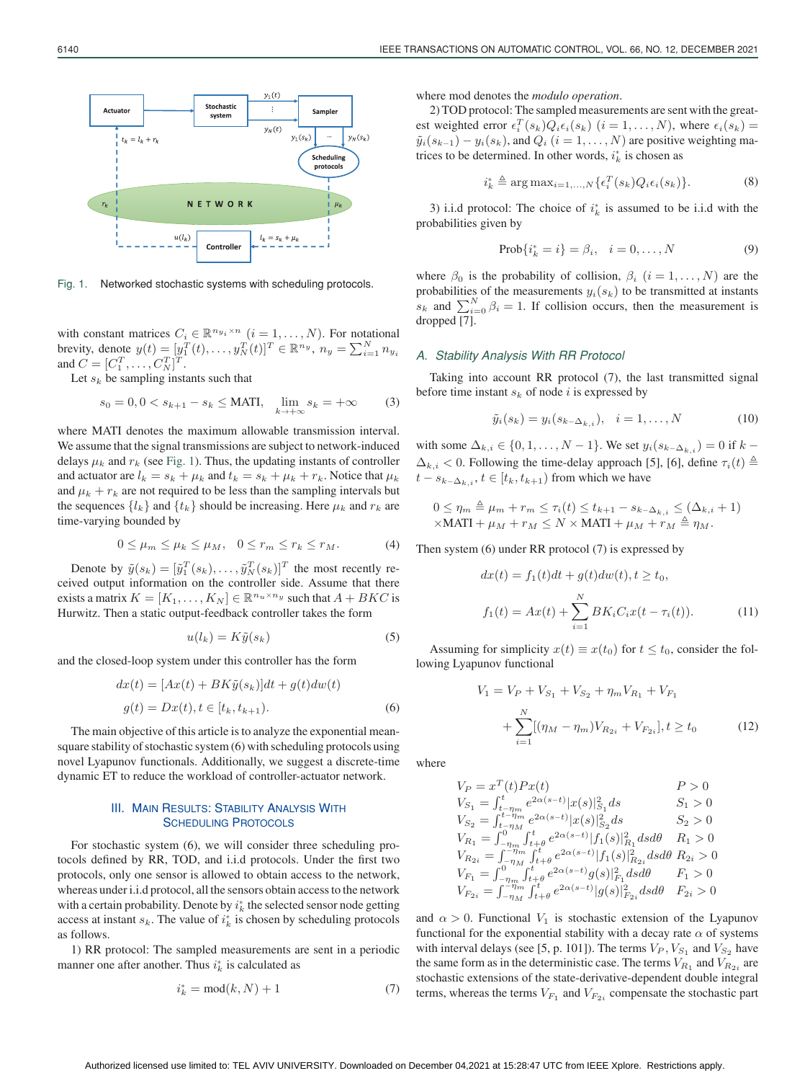

Fig. 1. Networked stochastic systems with scheduling protocols.

with constant matrices  $C_i \in \mathbb{R}^{n_{y_i} \times n}$   $(i = 1, \ldots, N)$ . For notational brevity, denote  $y(t) = [y_1^T(t),..., y_N^T(t)]^T \in \mathbb{R}^{n_y}, n_y = \sum_{i=1}^N n_{y_i}$ and  $C = [C_1^T, \dots, C_N^T]^T$ .<br>Let sube sampling inst

Let  $s_k$  be sampling instants such that

$$
s_0 = 0, 0 < s_{k+1} - s_k \le \text{MATI}, \quad \lim_{k \to +\infty} s_k = +\infty
$$
 (3)

where MATI denotes the maximum allowable transmission interval. We assume that the signal transmissions are subject to network-induced delays  $\mu_k$  and  $r_k$  (see Fig. 1). Thus, the updating instants of controller and actuator are  $l_k = s_k + \mu_k$  and  $t_k = s_k + \mu_k + r_k$ . Notice that  $\mu_k$ and  $\mu_k + r_k$  are not required to be less than the sampling intervals but the sequences  $\{l_k\}$  and  $\{t_k\}$  should be increasing. Here  $\mu_k$  and  $r_k$  are time-varying bounded by

$$
0 \le \mu_m \le \mu_k \le \mu_M, \quad 0 \le r_m \le r_k \le r_M. \tag{4}
$$

Denote by  $\tilde{y}(s_k) = [\tilde{y}_1^T(s_k), \dots, \tilde{y}_N^T(s_k)]^T$  the most recently received output information on the controller side. Assume that there exists a matrix  $K = [K_1, \ldots, K_N] \in \mathbb{R}^{n_u \times n_y}$  such that  $A + B K C$  is Hurwitz. Then a static output-feedback controller takes the form

$$
u(l_k) = K\tilde{y}(s_k)
$$
\n(5)

and the closed-loop system under this controller has the form

$$
dx(t) = [Ax(t) + BK\tilde{y}(s_k)]dt + g(t)dw(t)
$$

$$
g(t) = Dx(t), t \in [t_k, t_{k+1}).
$$
 (6)

The main objective of this article is to analyze the exponential meansquare stability of stochastic system (6) with scheduling protocols using novel Lyapunov functionals. Additionally, we suggest a discrete-time dynamic ET to reduce the workload of controller-actuator network.

## **III. MAIN RESULTS: STABILITY ANALYSIS WITH SCHEDULING PROTOCOLS**

For stochastic system (6), we will consider three scheduling protocols defined by RR, TOD, and i.i.d protocols. Under the first two protocols, only one sensor is allowed to obtain access to the network, whereas under i.i.d protocol, all the sensors obtain access to the network with a certain probability. Denote by  $i_k^*$  the selected sensor node getting access at instant  $s_k$ . The value of  $i_k^*$  is chosen by scheduling protocols as follows.

1) RR protocol: The sampled measurements are sent in a periodic manner one after another. Thus  $i_k^*$  is calculated as

$$
i_k^* = \text{mod}(k, N) + 1 \tag{7}
$$

where mod denotes the *modulo operation*.

2) TOD protocol: The sampled measurements are sent with the greatest weighted error  $\epsilon_i^T(s_k)Q_i\epsilon_i(s_k)$   $(i = 1, ..., N)$ , where  $\epsilon_i(s_k) = \tilde{\mu}_i(s_{k-1}) - \mu_i(s_{k-1})$  and  $Q_i$ ,  $(i = 1, ..., N)$  are positive weighting ma- $\tilde{y}_i(s_{k-1}) - y_i(s_k)$ , and  $Q_i$   $(i = 1, ..., N)$  are positive weighting matrices to be determined. In other words,  $i_k^*$  is chosen as

$$
i_k^* \triangleq \arg \max_{i=1,\dots,N} \{ \epsilon_i^T(s_k) Q_i \epsilon_i(s_k) \}.
$$
 (8)

3) i.i.d protocol: The choice of  $i_k^*$  is assumed to be i.i.d with the probabilities given by

$$
Prob{ik* = i} = \betai, i = 0,..., N
$$
 (9)

where  $\beta_0$  is the probability of collision,  $\beta_i$   $(i = 1, \ldots, N)$  are the probabilities of the measurements  $y_i(s_k)$  to be transmitted at instants  $s_k$  and  $\sum_{i=0}^{N} \beta_i = 1$ . If collision occurs, then the measurement is dropped [7] dropped [7].

### *A. Stability Analysis With RR Protocol*

Taking into account RR protocol (7), the last transmitted signal before time instant  $s_k$  of node i is expressed by

$$
\tilde{y}_i(s_k) = y_i(s_{k-\Delta_{k,i}}), \quad i = 1,\ldots,N
$$
\n(10)

with some  $\Delta_{k,i} \in \{0, 1, ..., N-1\}$ . We set  $y_i(s_{k-\Delta_{k,i}}) = 0$  if  $k \Delta_{k,i} < 0$ . Following the time-delay approach [5], [6], define  $\tau_i(t) \triangleq$ <br> $t = s$ ,  $t \in [t, t_{i+1}]$  from which we have  $t - s_{k-\Delta_{k,i}}$ ,  $t \in [t_k, t_{k+1})$  from which we have

$$
0 \leq \eta_m \triangleq \mu_m + r_m \leq \tau_i(t) \leq t_{k+1} - s_{k-\Delta_{k,i}} \leq (\Delta_{k,i} + 1)
$$
  
×MATI +  $\mu_M + r_M \leq N \times \text{MATI} + \mu_M + r_M \triangleq \eta_M$ .

Then system (6) under RR protocol (7) is expressed by

$$
dx(t) = f_1(t)dt + g(t)dw(t), t \ge t_0,
$$
  
\n
$$
f_1(t) = Ax(t) + \sum_{i=1}^{N} BK_i C_i x(t - \tau_i(t)).
$$
\n(11)

Assuming for simplicity  $x(t) \equiv x(t_0)$  for  $t \le t_0$ , consider the following Lyapunov functional

$$
V_1 = V_P + V_{S_1} + V_{S_2} + \eta_m V_{R_1} + V_{F_1}
$$
  
+ 
$$
\sum_{i=1}^N [(\eta_M - \eta_m) V_{R_{2i}} + V_{F_{2i}}], t \ge t_0
$$
 (12)

where

$$
V_P = x^T(t)Px(t)
$$
  
\n
$$
V_{S_1} = \int_{t-\eta_m}^t e^{2\alpha(s-t)} |x(s)|^2_{S_1} ds
$$
  
\n
$$
V_{S_2} = \int_{t-\eta_m}^{t-\eta_m} e^{2\alpha(s-t)} |x(s)|^2_{S_2} ds
$$
  
\n
$$
V_{R_1} = \int_{-\eta_m}^{\eta_m} \int_{t+\theta}^t e^{2\alpha(s-t)} |f_1(s)|^2_{R_1} ds d\theta
$$
  
\n
$$
V_{R_2} = \int_{-\eta_m}^{\eta_m} \int_{t+\theta}^t e^{2\alpha(s-t)} |f_1(s)|^2_{R_2} ds d\theta
$$
  
\n
$$
V_{R_1} = \int_{-\eta_m}^0 \int_{t+\theta}^t e^{2\alpha(s-t)} g(s) |_{F_1}^2 ds d\theta
$$
  
\n
$$
V_{F_2} = \int_{-\eta_m}^{\eta_m} \int_{t+\theta}^t e^{2\alpha(s-t)} |g(s)|^2_{F_2} ds d\theta
$$
  
\n
$$
F_{S_2} = \int_{-\eta_m}^{\eta_m} \int_{t+\theta}^t e^{2\alpha(s-t)} |g(s)|^2_{F_2} ds d\theta
$$
  
\n
$$
F_{S_2} = 0
$$

and  $\alpha > 0$ . Functional  $V_1$  is stochastic extension of the Lyapunov functional for the exponential stability with a decay rate  $\alpha$  of systems with interval delays (see [5, p. 101]). The terms  $V_P$ ,  $V_{S_1}$  and  $V_{S_2}$  have the same form as in the deterministic case. The terms  $V_{R_1}$  and  $V_{R_2}$  are stochastic extensions of the state-derivative-dependent double integral terms, whereas the terms  $V_{F_1}$  and  $V_{F_{2i}}$  compensate the stochastic part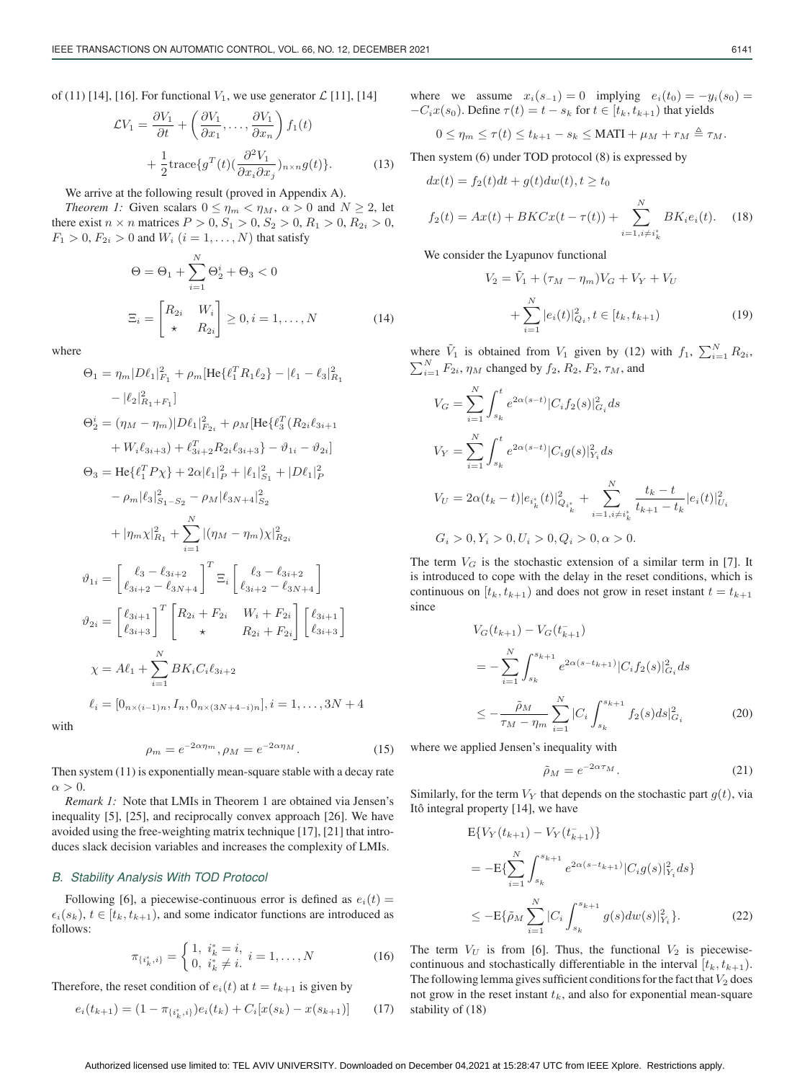of (11) [14], [16]. For functional  $V_1$ , we use generator  $\mathcal{L}$  [11], [14]

$$
\mathcal{L}V_1 = \frac{\partial V_1}{\partial t} + \left(\frac{\partial V_1}{\partial x_1}, \dots, \frac{\partial V_1}{\partial x_n}\right) f_1(t) + \frac{1}{2} \text{trace}\{g^T(t) \left(\frac{\partial^2 V_1}{\partial x_i \partial x_j}\right)_{n \times n} g(t)\}.
$$
 (13)

We arrive at the following result (proved in Appendix A).

*Theorem 1:* Given scalars  $0 \le \eta_m < \eta_M$ ,  $\alpha > 0$  and  $N \ge 2$ , let there exist  $n \times n$  matrices  $P > 0$ ,  $S_1 > 0$ ,  $S_2 > 0$ ,  $R_1 > 0$ ,  $R_{2i} > 0$ ,  $F_1 > 0, F_{2i} > 0$  and  $W_i$   $(i = 1, \ldots, N)$  that satisfy

$$
\Theta = \Theta_1 + \sum_{i=1}^{N} \Theta_2^i + \Theta_3 < 0
$$
\n
$$
\Xi_i = \begin{bmatrix} R_{2i} & W_i \\ \star & R_{2i} \end{bmatrix} \ge 0, i = 1, \dots, N \tag{14}
$$

where

$$
\Theta_{1} = \eta_{m} |D\ell_{1}|_{F_{1}}^{2} + \rho_{m} [\text{He}\{\ell_{1}^{T} R_{1} \ell_{2}\} - |\ell_{1} - \ell_{3}|_{R_{1}}^{2}
$$
  
\n
$$
- |\ell_{2}|_{R_{1} + F_{1}}^{2}
$$
  
\n
$$
\Theta_{2}^{i} = (\eta_{M} - \eta_{m}) |D\ell_{1}|_{F_{2i}}^{2} + \rho_{M} [\text{He}\{\ell_{3}^{T} (R_{2i}\ell_{3i+1} + W_{i}\ell_{3i+3}) + \ell_{3i+2}^{T} R_{2i}\ell_{3i+3}\} - \vartheta_{1i} - \vartheta_{2i}]
$$
  
\n
$$
\Theta_{3} = \text{He}\{\ell_{1}^{T} P \chi\} + 2\alpha |\ell_{1}|_{P}^{2} + |\ell_{1}|_{S_{1}}^{2} + |D\ell_{1}|_{P}^{2}
$$
  
\n
$$
- \rho_{m} |\ell_{3}|_{S_{1} - S_{2}}^{2} - \rho_{M} |\ell_{3N+4}|_{S_{2}}^{2}
$$
  
\n
$$
+ |\eta_{m} \chi|_{R_{1}}^{2} + \sum_{i=1}^{N} |(\eta_{M} - \eta_{m}) \chi|_{R_{2i}}^{2}
$$
  
\n
$$
\vartheta_{1i} = \begin{bmatrix} \ell_{3} - \ell_{3i+2} \\ \ell_{3i+2} - \ell_{3N+4} \end{bmatrix}^{T} \Xi_{i} \begin{bmatrix} \ell_{3} - \ell_{3i+2} \\ \ell_{3i+2} - \ell_{3N+4} \end{bmatrix}
$$
  
\n
$$
\vartheta_{2i} = \begin{bmatrix} \ell_{3i+1} \\ \ell_{3i+3} \end{bmatrix}^{T} \begin{bmatrix} R_{2i} + F_{2i} & W_{i} + F_{2i} \\ \star & R_{2i} + F_{2i} \end{bmatrix} \begin{bmatrix} \ell_{3i+1} \\ \ell_{3i+3} \end{bmatrix}
$$
  
\n
$$
\chi = A\ell_{1} + \sum_{i=1}^{N} BK_{i} C_{i} \ell_{3i+2}
$$
  
\n
$$
\ell_{i} = [0_{n \times (i-1)n}, I_{n}, 0_{n \
$$

with

$$
\rho_m = e^{-2\alpha\eta_m}, \rho_M = e^{-2\alpha\eta_M}.
$$
 (15)

Then system (11) is exponentially mean-square stable with a decay rate  $\alpha > 0$ .

*Remark 1:* Note that LMIs in Theorem 1 are obtained via Jensen's inequality [5], [25], and reciprocally convex approach [26]. We have avoided using the free-weighting matrix technique [17], [21] that introduces slack decision variables and increases the complexity of LMIs.

## *B. Stability Analysis With TOD Protocol*

Following [6], a piecewise-continuous error is defined as  $e_i(t)$  =  $\epsilon_i(s_k)$ ,  $t \in [t_k, t_{k+1})$ , and some indicator functions are introduced as follows: follows:

$$
\pi_{\{i_k^*,i\}} = \begin{cases} 1, \ i_k^* = i, \\ 0, \ i_k^* \neq i. \end{cases} i = 1, \dots, N \tag{16}
$$

Therefore, the reset condition of  $e_i(t)$  at  $t = t_{k+1}$  is given by

$$
e_i(t_{k+1}) = (1 - \pi_{\{i_k^*,i\}})e_i(t_k) + C_i[x(s_k) - x(s_{k+1})]
$$
(17)

where we assume  $x_i(s_{-1})=0$  implying  $e_i(t_0) = -y_i(s_0) = 0$  $-C_i x(s_0)$ . Define  $\tau(t) = t - s_k$  for  $t \in [t_k, t_{k+1})$  that yields

$$
0 \leq \eta_m \leq \tau(t) \leq t_{k+1} - s_k \leq \text{MATI} + \mu_M + r_M \triangleq \tau_M.
$$

Then system (6) under TOD protocol (8) is expressed by

$$
dx(t) = f_2(t)dt + g(t)dw(t), t \ge t_0
$$

$$
f_2(t) = Ax(t) + BKCx(t - \tau(t)) + \sum_{i=1, i \neq i_k^*}^{N} BK_i e_i(t).
$$
 (18)

We consider the Lyapunov functional

$$
V_2 = V_1 + (\tau_M - \eta_m)V_G + V_Y + V_U
$$
  
+ 
$$
\sum_{i=1}^N |e_i(t)|^2_{Q_i}, t \in [t_k, t_{k+1})
$$
 (19)

where  $\tilde{V}_1$  is obtained from  $V_1$  given by (12) with  $f_1$ ,  $\sum_{i=1}^{N} R_{2i}$ ,  $\sum_{i=1}^{N} F_{2i}$ ,  $\eta_M$  changed by  $f_2$ ,  $R_2$ ,  $F_2$ ,  $\tau_M$ , and

$$
V_G = \sum_{i=1}^{N} \int_{s_k}^t e^{2\alpha(s-t)} |C_i f_2(s)|_{G_i}^2 ds
$$
  
\n
$$
V_Y = \sum_{i=1}^{N} \int_{s_k}^t e^{2\alpha(s-t)} |C_i g(s)|_{Y_i}^2 ds
$$
  
\n
$$
V_U = 2\alpha(t_k - t) |e_{i_k}^*(t)|_{Q_{i_k}^*}^2 + \sum_{i=1, i \neq i_k^*}^{N} \frac{t_k - t}{t_{k+1} - t_k} |e_i(t)|_{U_i}^2
$$
  
\n
$$
G_i > 0, Y_i > 0, U_i > 0, Q_i > 0, \alpha > 0.
$$

The term  $V_G$  is the stochastic extension of a similar term in [7]. It is introduced to cope with the delay in the reset conditions, which is continuous on  $[t_k, t_{k+1})$  and does not grow in reset instant  $t = t_{k+1}$ since

$$
V_G(t_{k+1}) - V_G(t_{k+1}^-)
$$
  
= 
$$
-\sum_{i=1}^N \int_{s_k}^{s_{k+1}} e^{2\alpha(s-t_{k+1})} |C_i f_2(s)|^2_{G_i} ds
$$
  

$$
\leq -\frac{\tilde{\rho}_M}{\tau_M - \eta_m} \sum_{i=1}^N |C_i \int_{s_k}^{s_{k+1}} f_2(s) ds|^2_{G_i}
$$
(20)

where we applied Jensen's inequality with

$$
\tilde{\rho}_M = e^{-2\alpha \tau_M}.
$$
\n(21)

Similarly, for the term  $V_Y$  that depends on the stochastic part  $g(t)$ , via Itô integral property [14], we have

$$
E\{V_Y(t_{k+1}) - V_Y(t_{k+1})\}
$$
  
= 
$$
-E\{\sum_{i=1}^N \int_{s_k}^{s_{k+1}} e^{2\alpha(s-t_{k+1})} |C_i g(s)|_{Y_i}^2 ds\}
$$
  

$$
\leq -E\{\tilde{\rho}_M \sum_{i=1}^N |C_i \int_{s_k}^{s_{k+1}} g(s) dw(s)|_{Y_i}^2\}.
$$
 (22)

The term  $V_U$  is from [6]. Thus, the functional  $V_2$  is piecewisecontinuous and stochastically differentiable in the interval  $[t_k, t_{k+1})$ . The following lemma gives sufficient conditions for the fact that  $V_2$  does not grow in the reset instant  $t_k$ , and also for exponential mean-square stability of (18)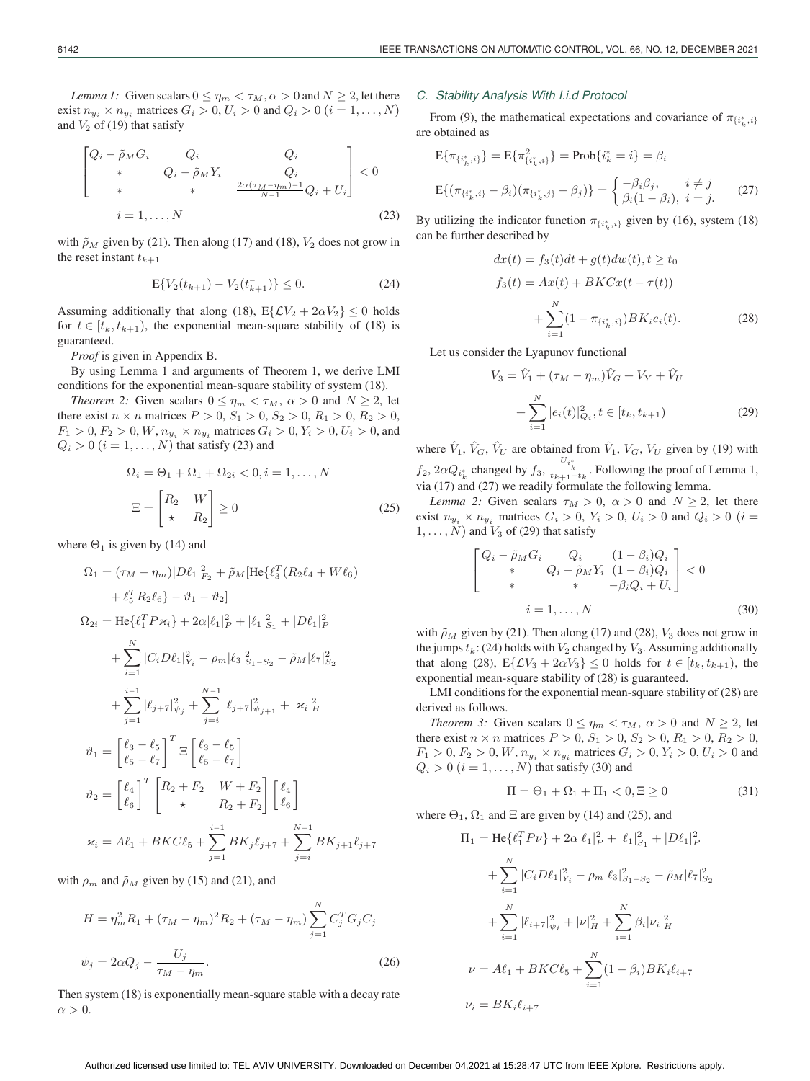*Lemma 1:* Given scalars  $0 \le \eta_m < \tau_M$ ,  $\alpha > 0$  and  $N \ge 2$ , let there exist  $n_{y_i} \times n_{y_i}$  matrices  $G_i > 0, U_i > 0$  and  $Q_i > 0$  ( $i = 1, \ldots, N$ ) and  $V_2$  of (19) that satisfy

$$
\begin{bmatrix}\nQ_i - \tilde{\rho}_M G_i & Q_i & Q_i \\
* & Q_i - \tilde{\rho}_M Y_i & Q_i \\
* & * & \frac{2\alpha(\tau_M - \eta_m) - 1}{N - 1} Q_i + U_i\n\end{bmatrix} < 0
$$
\n
$$
i = 1, ..., N \tag{23}
$$

with  $\tilde{\rho}_M$  given by (21). Then along (17) and (18),  $V_2$  does not grow in the reset instant  $t_{k+1}$ 

$$
E\{V_2(t_{k+1}) - V_2(t_{k+1})\} \le 0.
$$
\n(24)

Assuming additionally that along (18),  $E\{LV_2 + 2\alpha V_2\} \le 0$  holds for  $t \in [t_k, t_{k+1})$ , the exponential mean-square stability of (18) is guaranteed.

*Proof* is given in Appendix B.

By using Lemma 1 and arguments of Theorem 1, we derive LMI conditions for the exponential mean-square stability of system (18).

*Theorem 2:* Given scalars  $0 \le \eta_m < \tau_M$ ,  $\alpha > 0$  and  $N \ge 2$ , let there exist  $n \times n$  matrices  $P > 0$ ,  $S_1 > 0$ ,  $S_2 > 0$ ,  $R_1 > 0$ ,  $R_2 > 0$ ,  $F_1 > 0, F_2 > 0, W, n_{y_i} \times n_{y_i}$  matrices  $G_i > 0, Y_i > 0, U_i > 0$ , and  $Q_i > 0$   $(i = 1, \ldots, N)$  that satisfy (23) and

$$
\Omega_i = \Theta_1 + \Omega_1 + \Omega_{2i} < 0, i = 1, \dots, N
$$
\n
$$
\Xi = \begin{bmatrix} R_2 & W \\ \star & R_2 \end{bmatrix} \ge 0 \tag{25}
$$

where  $\Theta_1$  is given by (14) and

$$
\Omega_{1} = (\tau_{M} - \eta_{m}) |D\ell_{1}|_{F_{2}}^{2} + \tilde{\rho}_{M} [\text{He}\{\ell_{3}^{T} (R_{2}\ell_{4} + W\ell_{6})
$$
  
\n
$$
+ \ell_{5}^{T} R_{2}\ell_{6} - \vartheta_{1} - \vartheta_{2}]
$$
  
\n
$$
\Omega_{2i} = \text{He}\{\ell_{1}^{T} P \varkappa_{i}\} + 2\alpha |\ell_{1}|_{P}^{2} + |\ell_{1}|_{S_{1}}^{2} + |D\ell_{1}|_{P}^{2}
$$
  
\n
$$
+ \sum_{i=1}^{N} |C_{i} D\ell_{1}|_{Y_{i}}^{2} - \rho_{m} |\ell_{3}|_{S_{1} - S_{2}}^{2} - \tilde{\rho}_{M} |\ell_{7}|_{S_{2}}^{2}
$$
  
\n
$$
+ \sum_{j=1}^{i-1} |\ell_{j+7}|_{\psi_{j}}^{2} + \sum_{j=i}^{N-1} |\ell_{j+7}|_{\psi_{j+1}}^{2} + |\varkappa_{i}|_{H}^{2}
$$
  
\n
$$
\vartheta_{1} = \begin{bmatrix} \ell_{3} - \ell_{5} \\ \ell_{5} - \ell_{7} \end{bmatrix}^{T} \Xi \begin{bmatrix} \ell_{3} - \ell_{5} \\ \ell_{5} - \ell_{7} \end{bmatrix}
$$
  
\n
$$
\vartheta_{2} = \begin{bmatrix} \ell_{4} \\ \ell_{6} \end{bmatrix}^{T} \begin{bmatrix} R_{2} + F_{2} & W + F_{2} \\ \kappa & R_{2} + F_{2} \end{bmatrix} \begin{bmatrix} \ell_{4} \\ \ell_{6} \end{bmatrix}
$$
  
\n
$$
\varkappa_{i} = A\ell_{1} + BKC\ell_{5} + \sum_{j=1}^{i-1} BK_{j}\ell_{j+7} + \sum_{j=i}^{N-1} BK_{j+1}\ell_{j+7}
$$

with  $\rho_m$  and  $\tilde{\rho}_M$  given by (15) and (21), and

$$
H = \eta_m^2 R_1 + (\tau_M - \eta_m)^2 R_2 + (\tau_M - \eta_m) \sum_{j=1}^N C_j^T G_j C_j
$$
  

$$
\psi_j = 2\alpha Q_j - \frac{U_j}{\tau_M - \eta_m}.
$$
 (26)

Then system (18) is exponentially mean-square stable with a decay rate  $\alpha > 0$ .

#### *C. Stability Analysis With I.i.d Protocol*

From (9), the mathematical expectations and covariance of  $\pi_{\{i_k^*, i\}}$ are obtained as

$$
E{\pi_{\{i_k^*,i\}}\} = E{\pi_{\{i_k^*,i\}}^2} = Prob{\{i_k^* = i\}} = \beta_i
$$
  

$$
E{\pi_{\{i_k^*,i\}} - \beta_i(\pi_{\{i_k^*,j\}} - \beta_j)\} = \begin{cases} -\beta_i\beta_j, & i \neq j \\ \beta_i(1 - \beta_i), & i = j. \end{cases}
$$
 (27)

By utilizing the indicator function  $\pi_{\{i^*_k, i\}}$  given by (16), system (18) can be further described by

$$
dx(t) = f_3(t)dt + g(t)dw(t), t \ge t_0
$$
  
\n
$$
f_3(t) = Ax(t) + BKCx(t - \tau(t))
$$
  
\n
$$
+ \sum_{i=1}^{N} (1 - \pi_{\{i_k^*, i\}})BK_i e_i(t).
$$
\n(28)

Let us consider the Lyapunov functional

$$
V_3 = \hat{V}_1 + (\tau_M - \eta_m)\hat{V}_G + V_Y + \hat{V}_U
$$
  
+ 
$$
\sum_{i=1}^N |e_i(t)|^2_{Q_i}, t \in [t_k, t_{k+1})
$$
 (29)

where  $\hat{V}_1$ ,  $\hat{V}_G$ ,  $\hat{V}_U$  are obtained from  $\hat{V}_1$ ,  $V_G$ ,  $V_U$  given by (19) with  $f_2$ ,  $2\alpha Q_i^*$  changed by  $f_3$ ,  $\frac{U_i^*}{t_{k+1}-t_k}$ . Following the proof of Lemma 1, via (17) and (27) we readily formulate the following lemma.

*Lemma 2:* Given scalars  $\tau_M > 0$ ,  $\alpha > 0$  and  $N \ge 2$ , let there exist  $n_{y_i} \times n_{y_i}$  matrices  $G_i > 0$ ,  $Y_i > 0$ ,  $U_i > 0$  and  $Q_i > 0$  (i =  $1, \ldots, N$ ) and  $V_3$  of (29) that satisfy

$$
\begin{bmatrix}\nQ_i - \tilde{\rho}_M G_i & Q_i & (1 - \beta_i) Q_i \\
\ast & Q_i - \tilde{\rho}_M Y_i & (1 - \beta_i) Q_i \\
\ast & \ast & -\beta_i Q_i + U_i\n\end{bmatrix} < 0
$$
\n
$$
i = 1, \dots, N \tag{30}
$$

with  $\tilde{\rho}_M$  given by (21). Then along (17) and (28),  $V_3$  does not grow in the jumps  $t_k$ : (24) holds with  $V_2$  changed by  $V_3$ . Assuming additionally that along (28),  $E\{\mathcal{L}V_3 + 2\alpha V_3\} \leq 0$  holds for  $t \in [t_k, t_{k+1})$ , the exponential mean-square stability of (28) is guaranteed.

LMI conditions for the exponential mean-square stability of (28) are derived as follows.

*Theorem 3:* Given scalars  $0 \le \eta_m < \tau_M$ ,  $\alpha > 0$  and  $N \ge 2$ , let there exist  $n \times n$  matrices  $P > 0$ ,  $S_1 > 0$ ,  $S_2 > 0$ ,  $R_1 > 0$ ,  $R_2 > 0$ ,  $F_1 > 0, F_2 > 0, W, n_{y_i} \times n_{y_i}$  matrices  $G_i > 0, Y_i > 0, U_i > 0$  and  $Q_i > 0$   $(i = 1, \ldots, N)$  that satisfy (30) and

$$
\Pi = \Theta_1 + \Omega_1 + \Pi_1 < 0, \Xi \ge 0 \tag{31}
$$

where  $\Theta_1$ ,  $\Omega_1$  and  $\Xi$  are given by (14) and (25), and

$$
\Pi_1 = \text{He}\{\ell_1^T P \nu\} + 2\alpha |\ell_1|_P^2 + |\ell_1|_{S_1}^2 + |D\ell_1|_{P}^2
$$
  
+ 
$$
\sum_{i=1}^N |C_i D\ell_1|_{Y_i}^2 - \rho_m |\ell_3|_{S_1 - S_2}^2 - \tilde{\rho}_M |\ell_7|_{S_2}^2
$$
  
+ 
$$
\sum_{i=1}^N |\ell_{i+7}|_{\psi_i}^2 + |\nu|_H^2 + \sum_{i=1}^N \beta_i |\nu_i|_H^2
$$
  

$$
\nu = A\ell_1 + BK C\ell_5 + \sum_{i=1}^N (1 - \beta_i) BK_i \ell_{i+7}
$$
  

$$
\nu_i = BK_i \ell_{i+7}
$$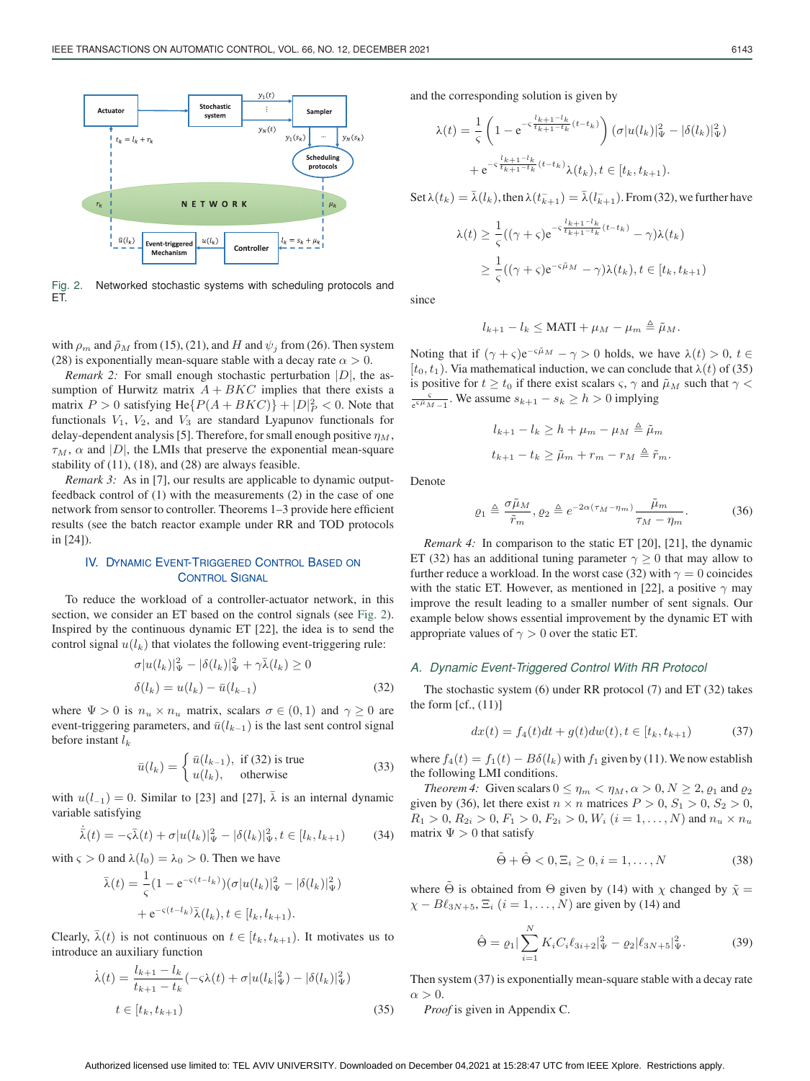

Fig. 2. Networked stochastic systems with scheduling protocols and ET.

with  $\rho_m$  and  $\tilde{\rho}_M$  from (15), (21), and H and  $\psi_i$  from (26). Then system (28) is exponentially mean-square stable with a decay rate  $\alpha > 0$ .

*Remark 2:* For small enough stochastic perturbation  $|D|$ , the assumption of Hurwitz matrix  $A + B K C$  implies that there exists a matrix  $P > 0$  satisfying He{ $P(A + B K C)$ } +  $|D|_P^2 < 0$ . Note that functionals  $V_1$  and  $V_2$  are standard Uvanupov functionals for functionals  $V_1$ ,  $V_2$ , and  $V_3$  are standard Lyapunov functionals for delay-dependent analysis [5]. Therefore, for small enough positive  $\eta_M$ ,  $\tau_M$ ,  $\alpha$  and |D|, the LMIs that preserve the exponential mean-square stability of (11), (18), and (28) are always feasible.

*Remark 3:* As in [7], our results are applicable to dynamic outputfeedback control of (1) with the measurements (2) in the case of one network from sensor to controller. Theorems 1–3 provide here efficient results (see the batch reactor example under RR and TOD protocols in [24]).

## IV. DYNAMIC EVENT-TRIGGERED CONTROL BASED ON **CONTROL SIGNAL**

To reduce the workload of a controller-actuator network, in this section, we consider an ET based on the control signals (see Fig. 2). Inspired by the continuous dynamic ET [22], the idea is to send the control signal  $u(l_k)$  that violates the following event-triggering rule:

$$
\sigma |u(l_k)|_{\Psi}^2 - |\delta(l_k)|_{\Psi}^2 + \gamma \bar{\lambda}(l_k) \ge 0
$$
  

$$
\delta(l_k) = u(l_k) - \bar{u}(l_{k-1})
$$
 (32)

where  $\Psi > 0$  is  $n_u \times n_u$  matrix, scalars  $\sigma \in (0,1)$  and  $\gamma \ge 0$  are event-triggering parameters, and  $\bar{u}(l_{k-1})$  is the last sent control signal before instant  $l_k$ 

$$
\bar{u}(l_k) = \begin{cases} \bar{u}(l_{k-1}), & \text{if (32) is true} \\ u(l_k), & \text{otherwise} \end{cases}
$$
\n(33)

with  $u(l_{-1})=0$ . Similar to [23] and [27],  $\lambda$  is an internal dynamic variable satisfying variable satisfying

$$
\bar{\lambda}(t) = -\varsigma \bar{\lambda}(t) + \sigma |u(l_k)|_{\Psi}^2 - |\delta(l_k)|_{\Psi}^2, t \in [l_k, l_{k+1})
$$
 (34)

with  $\varsigma > 0$  and  $\lambda(l_0) = \lambda_0 > 0$ . Then we have

$$
\bar{\lambda}(t) = \frac{1}{\varsigma} (1 - e^{-\varsigma (t - l_k)}) (\sigma |u(l_k)|_{\Psi}^2 - |\delta(l_k)|_{\Psi}^2)
$$

$$
+ e^{-\varsigma (t - l_k)} \bar{\lambda}(l_k), t \in [l_k, l_{k+1}).
$$

Clearly,  $\lambda(t)$  is not continuous on  $t \in [t_k, t_{k+1})$ . It motivates us to introduce an auxiliary function introduce an auxiliary function

$$
\dot{\lambda}(t) = \frac{l_{k+1} - l_k}{t_{k+1} - t_k} (-\varsigma \lambda(t) + \sigma |u(l_k|_{\Psi}^2) - |\delta(l_k)|_{\Psi}^2)
$$
  

$$
t \in [t_k, t_{k+1})
$$
 (35)

and the corresponding solution is given by

$$
\lambda(t) = \frac{1}{\varsigma} \left( 1 - e^{-\varsigma \frac{l_{k+1} - l_k}{t_{k+1} - t_k}(t - t_k)} \right) (\sigma |u(l_k)|_{\Psi}^2 - |\delta(l_k)|_{\Psi}^2)
$$

$$
+ e^{-\varsigma \frac{l_{k+1} - l_k}{t_{k+1} - t_k}(t - t_k)} \lambda(t_k), t \in [t_k, t_{k+1}).
$$

Set  $\lambda(t_k) = \bar{\lambda}(l_k)$ , then  $\lambda(t_{k+1}^-) = \bar{\lambda}(l_{k+1}^-)$ . From (32), we further have

$$
\lambda(t) \geq \frac{1}{\varsigma}((\gamma + \varsigma)e^{-\varsigma \frac{l_{k+1}-l_{k}}{t_{k+1}-t_{k}}(t-t_{k})} - \gamma)\lambda(t_{k})
$$
  

$$
\geq \frac{1}{\varsigma}((\gamma + \varsigma)e^{-\varsigma \tilde{\mu}_{M}} - \gamma)\lambda(t_{k}), t \in [t_{k}, t_{k+1})
$$

since

$$
l_{k+1} - l_k \leq \text{MATI} + \mu_M - \mu_m \triangleq \tilde{\mu}_M.
$$

Noting that if  $(\gamma + \varsigma)e^{-\varsigma \tilde{\mu}_M} - \gamma > 0$  holds, we have  $\lambda(t) > 0$ ,  $t \in$  $[t_0, t_1)$ . Via mathematical induction, we can conclude that  $\lambda(t)$  of (35) is positive for  $t \ge t_0$  if there exist scalars  $\varsigma$ ,  $\gamma$  and  $\tilde{\mu}_M$  such that  $\gamma$  $\frac{q}{e^{6\mu}M-1}$ . We assume  $s_{k+1} - s_k \geq h > 0$  implying

$$
l_{k+1} - l_k \ge h + \mu_m - \mu_M \triangleq \tilde{\mu}_m
$$
  

$$
t_{k+1} - t_k \ge \tilde{\mu}_m + r_m - r_M \triangleq \tilde{r}_m.
$$

Denote

$$
\varrho_1 \triangleq \frac{\sigma \tilde{\mu}_M}{\tilde{r}_m}, \varrho_2 \triangleq e^{-2\alpha(\tau_M - \eta_m)} \frac{\tilde{\mu}_m}{\tau_M - \eta_m}.
$$
 (36)

*Remark 4:* In comparison to the static ET [20], [21], the dynamic ET (32) has an additional tuning parameter  $\gamma > 0$  that may allow to further reduce a workload. In the worst case (32) with  $\gamma = 0$  coincides with the static ET. However, as mentioned in [22], a positive  $\gamma$  may improve the result leading to a smaller number of sent signals. Our example below shows essential improvement by the dynamic ET with appropriate values of  $\gamma > 0$  over the static ET.

#### *A. Dynamic Event-Triggered Control With RR Protocol*

The stochastic system (6) under RR protocol (7) and ET (32) takes the form  $[cf., (11)]$ 

$$
dx(t) = f_4(t)dt + g(t)dw(t), t \in [t_k, t_{k+1})
$$
\n(37)

where  $f_4(t) = f_1(t) - B\delta(l_k)$  with  $f_1$  given by (11). We now establish the following LMI conditions.

*Theorem 4:* Given scalars  $0 \le \eta_m < \eta_M$ ,  $\alpha > 0$ ,  $N \ge 2$ ,  $\varrho_1$  and  $\varrho_2$ given by (36), let there exist  $n \times n$  matrices  $P > 0$ ,  $S_1 > 0$ ,  $S_2 > 0$ ,  $R_1 > 0, R_{2i} > 0, F_1 > 0, F_{2i} > 0, W_i$   $(i = 1, ..., N)$  and  $n_u \times n_u$ matrix  $\Psi > 0$  that satisfy

$$
\tilde{\Theta} + \hat{\Theta} < 0, \Xi_i \ge 0, i = 1, \dots, N \tag{38}
$$

where  $\tilde{\Theta}$  is obtained from  $\Theta$  given by (14) with  $\chi$  changed by  $\tilde{\chi} =$  $\chi - B\ell_{3N+5}, \Xi_i$   $(i = 1, ..., N)$  are given by (14) and

$$
\hat{\Theta} = \varrho_1 |\sum_{i=1}^{N} K_i C_i \ell_{3i+2} |_{\Psi}^2 - \varrho_2 | \ell_{3N+5} |_{\Psi}^2.
$$
 (39)

Then system (37) is exponentially mean-square stable with a decay rate  $\alpha > 0$ .

*Proof* is given in Appendix C.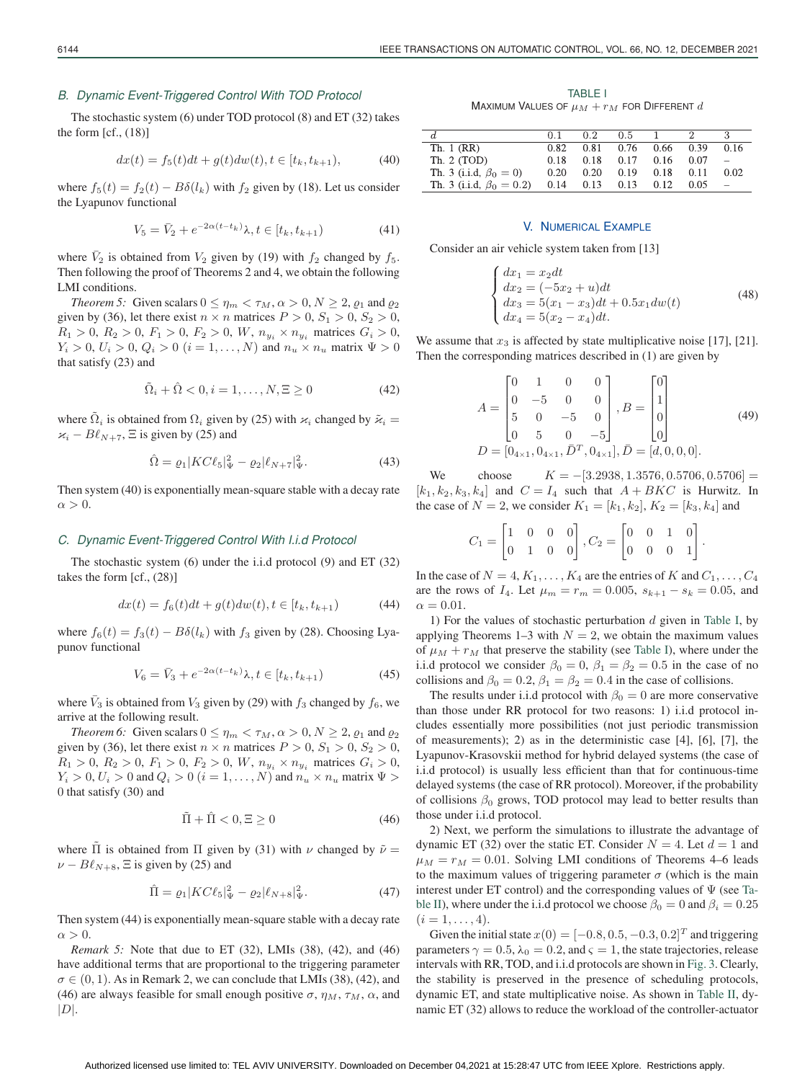#### *B. Dynamic Event-Triggered Control With TOD Protocol*

The stochastic system (6) under TOD protocol (8) and ET (32) takes the form [cf., (18)]

$$
dx(t) = f_5(t)dt + g(t)dw(t), t \in [t_k, t_{k+1}),
$$
\n(40)

where  $f_5(t) = f_2(t) - B\delta(l_k)$  with  $f_2$  given by (18). Let us consider the Lyapunov functional

$$
V_5 = \bar{V}_2 + e^{-2\alpha(t - t_k)} \lambda, t \in [t_k, t_{k+1})
$$
\n(41)

where  $\bar{V}_2$  is obtained from  $V_2$  given by (19) with  $f_2$  changed by  $f_5$ . Then following the proof of Theorems 2 and 4, we obtain the following LMI conditions.

*Theorem 5:* Given scalars  $0 \le \eta_m < \tau_M$ ,  $\alpha > 0$ ,  $N \ge 2$ ,  $\rho_1$  and  $\rho_2$ given by (36), let there exist  $n \times n$  matrices  $P > 0$ ,  $S_1 > 0$ ,  $S_2 > 0$ ,  $R_1 > 0, R_2 > 0, F_1 > 0, F_2 > 0, W, n_{y_i} \times n_{y_i}$  matrices  $G_i > 0$ ,  $Y_i > 0, U_i > 0, Q_i > 0$   $(i = 1, ..., N)$  and  $n_u \times n_u$  matrix  $\Psi > 0$ that satisfy (23) and

$$
\Omega_i + \Omega < 0, i = 1, \dots, N, \Xi \ge 0 \tag{42}
$$

where  $\Omega_i$  is obtained from  $\Omega_i$  given by (25) with  $\varkappa_i$  changed by  $\tilde{\varkappa}_i$  =  $\varkappa_i - B\ell_{N+7}$ ,  $\Xi$  is given by (25) and

$$
\hat{\Omega} = \varrho_1 | K C \ell_5 |_{\Psi}^2 - \varrho_2 | \ell_{N+7} |_{\Psi}^2.
$$
 (43)

Then system (40) is exponentially mean-square stable with a decay rate  $\alpha > 0$ .

## *C. Dynamic Event-Triggered Control With I.i.d Protocol*

The stochastic system (6) under the i.i.d protocol (9) and ET (32) takes the form [cf., (28)]

$$
dx(t) = f_6(t)dt + g(t)dw(t), t \in [t_k, t_{k+1})
$$
\n(44)

where  $f_6(t) = f_3(t) - B\delta(l_k)$  with  $f_3$  given by (28). Choosing Lyapunov functional

$$
V_6 = \bar{V}_3 + e^{-2\alpha(t - t_k)}\lambda, t \in [t_k, t_{k+1})
$$
\n(45)

where  $\bar{V}_3$  is obtained from  $V_3$  given by (29) with  $f_3$  changed by  $f_6$ , we arrive at the following result.

*Theorem 6:* Given scalars  $0 \le \eta_m < \tau_M$ ,  $\alpha > 0$ ,  $N \ge 2$ ,  $\varrho_1$  and  $\varrho_2$ given by (36), let there exist  $n \times n$  matrices  $P > 0$ ,  $S_1 > 0$ ,  $S_2 > 0$ ,  $R_1 > 0, R_2 > 0, F_1 > 0, F_2 > 0, W, n_{y_i} \times n_{y_i}$  matrices  $G_i > 0$ ,  $Y_i > 0, U_i > 0$  and  $Q_i > 0$   $(i = 1, \ldots, N)$  and  $n_u \times n_u$  matrix  $\Psi >$ 0 that satisfy (30) and

$$
\Pi + \Pi < 0, \Xi \ge 0 \tag{46}
$$

where  $\Pi$  is obtained from  $\Pi$  given by (31) with  $\nu$  changed by  $\tilde{\nu} =$  $\nu - B\ell_{N+8}$ ,  $\Xi$  is given by (25) and

$$
\hat{\Pi} = \varrho_1 | K C \ell_5 |_{\Psi}^2 - \varrho_2 | \ell_{N+8} |_{\Psi}^2. \tag{47}
$$

Then system (44) is exponentially mean-square stable with a decay rate  $\alpha > 0$ .

*Remark 5:* Note that due to ET (32), LMIs (38), (42), and (46) have additional terms that are proportional to the triggering parameter  $\sigma \in (0, 1)$ . As in Remark 2, we can conclude that LMIs (38), (42), and (46) are always feasible for small enough positive  $\sigma$ ,  $\eta_M$ ,  $\tau_M$ ,  $\alpha$ , and  $|D|$ .

TABLE I Maximum Values of  $\mu_M + r_M$  for Different  $d$ 

|                                 |      | 02   | $0.5 \quad 1$      |      |      |      |
|---------------------------------|------|------|--------------------|------|------|------|
| Th. 1 (RR)                      | 0.82 |      | $0.81 \qquad 0.76$ | 0.66 | 0.39 | 0.16 |
| Th. $2$ (TOD)                   | 0.18 | 0.18 | 0.17               | 0.16 | 0.07 |      |
| Th. 3 (i.i.d, $\beta_0 = 0$ )   | 0.20 | 0.20 | 0.19               | 0.18 | 0.11 | 0.02 |
| Th. 3 (i.i.d, $\beta_0 = 0.2$ ) | 0.14 |      | $0.13 \t 0.13$     | 0.12 | 0.05 |      |

#### V. NUMERICAL EXAMPLE

Consider an air vehicle system taken from [13]

$$
\begin{cases}\ndx_1 = x_2 dt \\
dx_2 = (-5x_2 + u)dt \\
dx_3 = 5(x_1 - x_3)dt + 0.5x_1 dw(t) \\
dx_4 = 5(x_2 - x_4)dt.\n\end{cases}
$$
\n(48)

We assume that  $x_3$  is affected by state multiplicative noise [17], [21]. Then the corresponding matrices described in (1) are given by

$$
A = \begin{bmatrix} 0 & 1 & 0 & 0 \\ 0 & -5 & 0 & 0 \\ 5 & 0 & -5 & 0 \\ 0 & 5 & 0 & -5 \end{bmatrix}, B = \begin{bmatrix} 0 \\ 1 \\ 0 \\ 0 \end{bmatrix}
$$
(49)  

$$
D = [0_{4 \times 1}, 0_{4 \times 1}, \overline{D}^T, 0_{4 \times 1}], \overline{D} = [d, 0, 0, 0].
$$

We choose  $K = -[3.2938, 1.3576, 0.5706, 0.5706] =$ <br> $k_2, k_3, k_4$  and  $C = L$ , such that  $A + B K C$  is Hurwitz. In  $[k_1, k_2, k_3, k_4]$  and  $C = I_4$  such that  $A + BKC$  is Hurwitz. In the case of  $N = 2$  we consider  $K_1 = [k_1, k_2]$   $K_2 = [k_1, k_3]$  and the case of  $N = 2$ , we consider  $K_1 = [k_1, k_2], K_2 = [k_3, k_4]$  and

$$
C_1 = \begin{bmatrix} 1 & 0 & 0 & 0 \\ 0 & 1 & 0 & 0 \end{bmatrix}, C_2 = \begin{bmatrix} 0 & 0 & 1 & 0 \\ 0 & 0 & 0 & 1 \end{bmatrix}.
$$

In the case of  $N = 4, K_1, \ldots, K_4$  are the entries of K and  $C_1, \ldots, C_4$ are the rows of  $I_4$ . Let  $\mu_m = r_m = 0.005$ ,  $s_{k+1} - s_k = 0.05$ , and  $\alpha = 0.01$ .

1) For the values of stochastic perturbation  $d$  given in Table I, by applying Theorems 1–3 with  $N = 2$ , we obtain the maximum values of  $\mu_M + r_M$  that preserve the stability (see Table I), where under the i.i.d protocol we consider  $\beta_0 = 0$ ,  $\beta_1 = \beta_2 = 0.5$  in the case of no collisions and  $\beta_0 = 0.2$ ,  $\beta_1 = \beta_2 = 0.4$  in the case of collisions.

The results under i.i.d protocol with  $\beta_0 = 0$  are more conservative than those under RR protocol for two reasons: 1) i.i.d protocol includes essentially more possibilities (not just periodic transmission of measurements); 2) as in the deterministic case [4], [6], [7], the Lyapunov-Krasovskii method for hybrid delayed systems (the case of i.i.d protocol) is usually less efficient than that for continuous-time delayed systems (the case of RR protocol). Moreover, if the probability of collisions  $\beta_0$  grows, TOD protocol may lead to better results than those under i.i.d protocol.

2) Next, we perform the simulations to illustrate the advantage of dynamic ET (32) over the static ET. Consider  $N = 4$ . Let  $d = 1$  and  $\mu_M = r_M = 0.01$ . Solving LMI conditions of Theorems 4–6 leads to the maximum values of triggering parameter  $\sigma$  (which is the main interest under ET control) and the corresponding values of  $\Psi$  (see Table II), where under the i.i.d protocol we choose  $\beta_0 = 0$  and  $\beta_i = 0.25$  $(i = 1, \ldots, 4).$ 

Given the initial state  $x(0) = [-0.8, 0.5, -0.3, 0.2]^T$  and triggering parameters  $\gamma = 0.5$ ,  $\lambda_0 = 0.2$ , and  $\varsigma = 1$ , the state trajectories, release intervals with RR, TOD, and i.i.d protocols are shown in Fig. 3. Clearly, the stability is preserved in the presence of scheduling protocols, dynamic ET, and state multiplicative noise. As shown in Table II, dynamic ET (32) allows to reduce the workload of the controller-actuator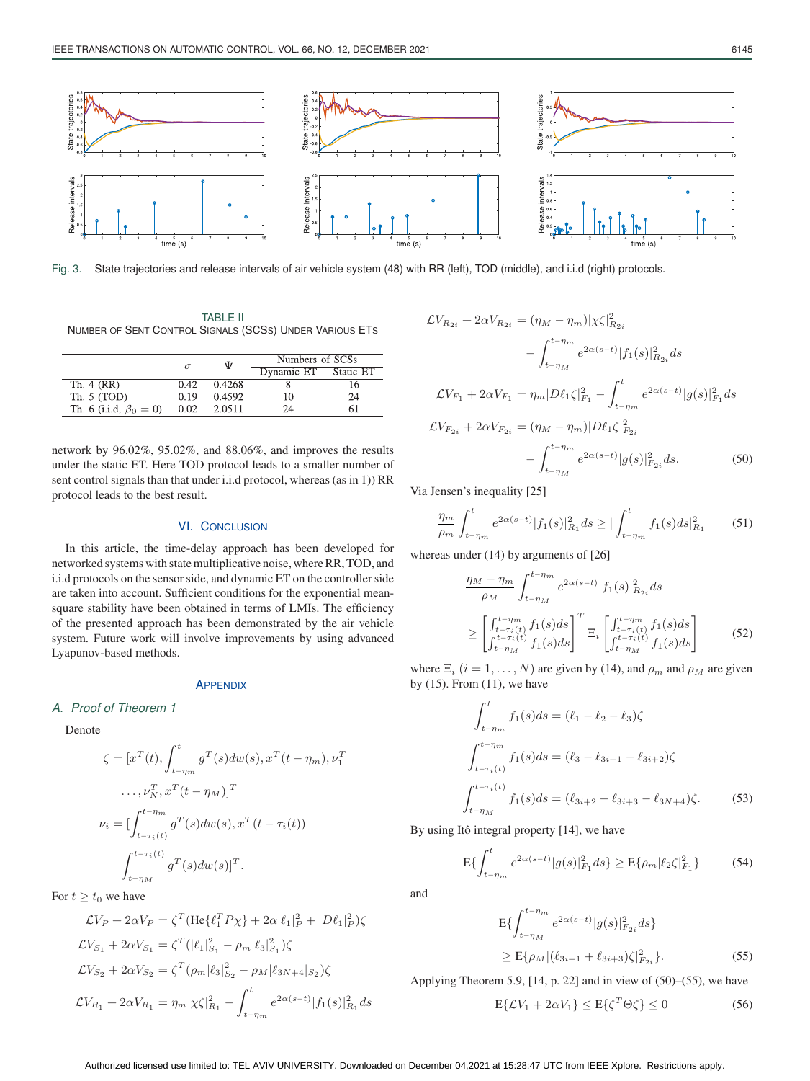

Fig. 3. State trajectories and release intervals of air vehicle system (48) with RR (left), TOD (middle), and i.i.d (right) protocols.

TABLE II NUMBER OF SENT CONTROL SIGNALS (SCSS) UNDER VARIOUS ETS

|                               |      | Ψ      | Numbers of SCSs |           |  |
|-------------------------------|------|--------|-----------------|-----------|--|
|                               |      |        | Dynamic ET      | Static ET |  |
| Th. 4 (RR)                    | 0.42 | 0.4268 |                 |           |  |
| Th. $5(TOD)$                  | 0.19 | 0.4592 | 10              | 24        |  |
| Th. 6 (i.i.d, $\beta_0 = 0$ ) | 0.02 | 2.0511 | 24              |           |  |

network by 96.02%, 95.02%, and 88.06%, and improves the results under the static ET. Here TOD protocol leads to a smaller number of sent control signals than that under i.i.d protocol, whereas (as in 1)) RR protocol leads to the best result.

## VI. CONCLUSION

In this article, the time-delay approach has been developed for networked systems with state multiplicative noise, where RR, TOD, and i.i.d protocols on the sensor side, and dynamic ET on the controller side are taken into account. Sufficient conditions for the exponential meansquare stability have been obtained in terms of LMIs. The efficiency of the presented approach has been demonstrated by the air vehicle system. Future work will involve improvements by using advanced Lyapunov-based methods.

#### **APPENDIX**

## *A. Proof of Theorem 1*

Denote

$$
\zeta = [x^T(t), \int_{t-\eta_m}^t g^T(s)dw(s), x^T(t-\eta_m), \nu_1^T
$$

$$
\dots, \nu_N^T, x^T(t-\eta_M)]^T
$$

$$
\nu_i = [\int_{t-\tau_i(t)}^{t-\eta_m} g^T(s)dw(s), x^T(t-\tau_i(t))
$$

$$
\int_{t-\eta_M}^{t-\tau_i(t)} g^T(s)dw(s)]^T.
$$

For  $t \geq t_0$  we have

$$
\begin{split} &\mathcal{L}V_P+2\alpha V_P=\zeta^T(\text{He}\{\ell_1^TP\chi\}+2\alpha|\ell_1|_P^2+|D\ell_1|_P^2)\zeta\\ &\mathcal{L}V_{S_1}+2\alpha V_{S_1}=\zeta^T(|\ell_1|_{S_1}^2-\rho_m|\ell_3|_{S_1}^2)\zeta\\ &\mathcal{L}V_{S_2}+2\alpha V_{S_2}=\zeta^T(\rho_m|\ell_3|_{S_2}^2-\rho_M|\ell_{3N+4}|_{S_2})\zeta\\ &\mathcal{L}V_{R_1}+2\alpha V_{R_1}=\eta_m|\chi\zeta|_{R_1}^2-\int_{t-\eta_m}^t e^{2\alpha(s-t)}|f_1(s)|_{R_1}^2ds \end{split}
$$

$$
\mathcal{L}V_{R_{2i}} + 2\alpha V_{R_{2i}} = (\eta_M - \eta_m)|\chi\zeta|_{R_{2i}}^2
$$

$$
- \int_{t-\eta_M}^{t-\eta_m} e^{2\alpha(s-t)} |f_1(s)|_{R_{2i}}^2 ds
$$

$$
\mathcal{L}V_{F_1} + 2\alpha V_{F_1} = \eta_m |D\ell_1\zeta|_{F_1}^2 - \int_{t-\eta_m}^t e^{2\alpha(s-t)} |g(s)|_{F_1}^2 ds
$$

$$
\mathcal{L}V_{F_{2i}} + 2\alpha V_{F_{2i}} = (\eta_M - \eta_m) |D\ell_1\zeta|_{F_{2i}}^2
$$

$$
- \int_{t-\eta_M}^{t-\eta_m} e^{2\alpha(s-t)} |g(s)|_{F_{2i}}^2 ds. \tag{50}
$$

Via Jensen's inequality [25]

$$
\frac{\eta_m}{\rho_m} \int_{t-\eta_m}^t e^{2\alpha(s-t)} |f_1(s)|_{R_1}^2 ds \ge |\int_{t-\eta_m}^t f_1(s)ds|_{R_1}^2 \tag{51}
$$

whereas under (14) by arguments of [26]

$$
\frac{\eta_M - \eta_m}{\rho_M} \int_{t-\eta_M}^{t-\eta_m} e^{2\alpha(s-t)} |f_1(s)|^2_{R_{2i}} ds
$$
\n
$$
\geq \left[ \int_{t-\tau_i(t)}^{t-\eta_m} f_1(s) ds \right]^T \Xi_i \left[ \int_{t-\tau_i(t)}^{t-\eta_m} f_1(s) ds \right]
$$
\n
$$
\geq \left[ \int_{t-\eta_M}^{t-\tau_i(t)} f_1(s) ds \right] \Xi_i \left[ \int_{t-\eta_M}^{t-\tau_i(t)} f_1(s) ds \right]
$$
\n(52)

where  $\Xi_i$  ( $i = 1, ..., N$ ) are given by (14), and  $\rho_m$  and  $\rho_M$  are given by (15). From (11), we have

$$
\int_{t-\eta_m}^{t} f_1(s)ds = (\ell_1 - \ell_2 - \ell_3)\zeta
$$

$$
\int_{t-\tau_i(t)}^{t-\eta_m} f_1(s)ds = (\ell_3 - \ell_{3i+1} - \ell_{3i+2})\zeta
$$

$$
\int_{t-\eta_M}^{t-\tau_i(t)} f_1(s)ds = (\ell_{3i+2} - \ell_{3i+3} - \ell_{3N+4})\zeta.
$$
(53)

By using Itô integral property [14], we have

$$
E\{\int_{t-\eta_m}^t e^{2\alpha(s-t)}|g(s)|_{F_1}^2 ds\} \ge E\{\rho_m|\ell_2\zeta|_{F_1}^2\} \tag{54}
$$

and

$$
E\{\int_{t-\eta_M}^{t-\eta_M} e^{2\alpha(s-t)}|g(s)|_{F_{2i}}^2 ds\}
$$
  
\n
$$
\geq E\{\rho_M|(\ell_{3i+1} + \ell_{3i+3})\zeta|_{F_{2i}}^2\}.
$$
\n(55)

Applying Theorem 5.9, [14, p. 22] and in view of (50)–(55), we have

$$
E\{\mathcal{L}V_1 + 2\alpha V_1\} \le E\{\zeta^T \Theta \zeta\} \le 0
$$
 (56)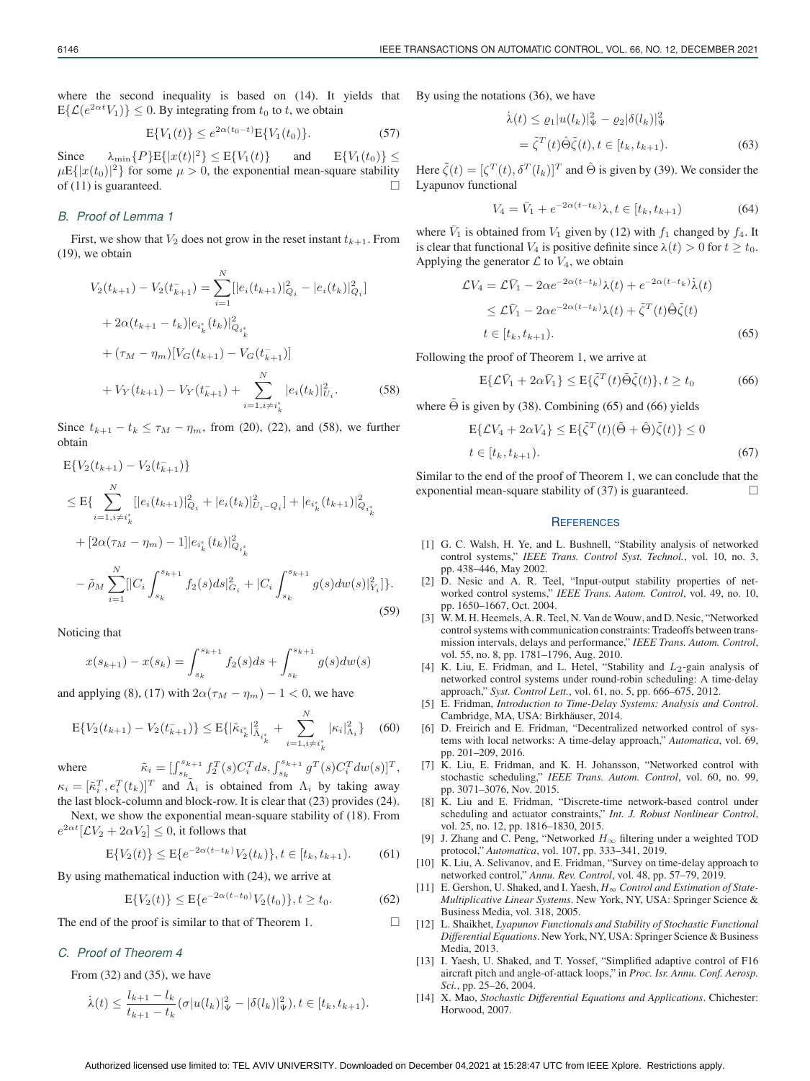where the second inequality is based on (14). It yields that  $E\{\mathcal{L}(e^{2\alpha t}V_1)\}\leq 0$ . By integrating from  $t_0$  to  $t$ , we obtain

$$
E\{V_1(t)\} \le e^{2\alpha(t_0 - t)} E\{V_1(t_0)\}.
$$
 (57)

Since  $\lambda_{\min} \{P\} E\{|x(t)|^2\} \leq E\{V_1(t)\}$  and  $E\{V_1(t_0)\} \leq$  $\mu E\{|x(t_0)|^2\}$  for some  $\mu > 0$ , the exponential mean-square stability of (11) is guaranteed of  $(11)$  is guaranteed.

## *B. Proof of Lemma 1*

First, we show that  $V_2$  does not grow in the reset instant  $t_{k+1}$ . From (19), we obtain

$$
V_2(t_{k+1}) - V_2(t_{k+1}^-) = \sum_{i=1}^N [|e_i(t_{k+1})|_{Q_i}^2 - |e_i(t_k)|_{Q_i}^2]
$$
  
+  $2\alpha(t_{k+1} - t_k)|e_{i_k}^*(t_k)|_{Q_{i_k}^*}^2$   
+  $(\tau_M - \eta_m)[V_G(t_{k+1}) - V_G(t_{k+1}^-)]$   
+  $V_Y(t_{k+1}) - V_Y(t_{k+1}^-) + \sum_{i=1, i \neq i_k^*}^N |e_i(t_k)|_{U_i}^2.$  (58)

Since  $t_{k+1} - t_k \leq \tau_M - \eta_m$ , from (20), (22), and (58), we further obtain

$$
E\{V_2(t_{k+1}) - V_2(t_{k+1})\}
$$
  
\n
$$
\leq E\{\sum_{i=1, i\neq i_k^*}^N [|e_i(t_{k+1})|_{Q_i}^2 + |e_i(t_k)|_{U_i-Q_i}^2] + |e_{i_k^*}(t_{k+1})|_{Q_{i_k^*}}^2
$$
  
\n
$$
+ [2\alpha(\tau_M - \eta_m) - 1]|e_{i_k^*}(t_k)|_{Q_{i_k^*}}^2
$$
  
\n
$$
- \tilde{\rho}_M \sum_{i=1}^N [|C_i \int_{s_k}^{s_{k+1}} f_2(s)ds|_{G_i}^2 + |C_i \int_{s_k}^{s_{k+1}} g(s)dw(s)|_{Y_i}^2] \}.
$$
  
\n(59)

Noticing that

$$
x(s_{k+1}) - x(s_k) = \int_{s_k}^{s_{k+1}} f_2(s)ds + \int_{s_k}^{s_{k+1}} g(s)dw(s)
$$

and applying (8), (17) with  $2\alpha(\tau_M - \eta_m) - 1 < 0$ , we have

$$
E\{V_2(t_{k+1}) - V_2(t_{k+1}^-)\} \le E\{|\tilde{\kappa}_{i_k^*}|_{\tilde{\Lambda}_{i_k^*}}^2 + \sum_{i=1, i \neq i_k^*}^N |\kappa_i|_{\Lambda_i}^2\} \tag{60}
$$

where  $\tilde{\kappa}_i = \left[\int_{s_k}^{s_{k+1}} f_2^T(s) C_i^T ds, \int_{s_k}^{s_{k+1}} g^T(s) C_i^T dw(s)\right]^T,$  $\kappa_i = [\tilde{\kappa}_i^T, e_i^T(t_k)]^T$  and  $\tilde{\Lambda}_i$  is obtained from  $\Lambda_i$  by taking away<br>the last block-column and block-row. It is clear that (23) provides (24)

the last block-column and block-row. It is clear that (23) provides (24). Next, we show the exponential mean-square stability of (18). From

 $e^{2\alpha t}[{\cal L} V_2+2\alpha V_2]\leq 0,$  it follows that

$$
E\{V_2(t)\} \le E\{e^{-2\alpha(t-t_k)}V_2(t_k)\}, t \in [t_k, t_{k+1}).
$$
 (61)

By using mathematical induction with (24), we arrive at

$$
E\{V_2(t)\} \le E\{e^{-2\alpha(t-t_0)}V_2(t_0)\}, t \ge t_0.
$$
 (62)

The end of the proof is similar to that of Theorem 1.  $\Box$ 

## *C. Proof of Theorem 4*

From (32) and (35), we have

$$
\dot{\lambda}(t) \leq \frac{l_{k+1} - l_k}{t_{k+1} - t_k} (\sigma |u(l_k)|_{\Psi}^2 - |\delta(l_k)|_{\Psi}^2), t \in [t_k, t_{k+1}).
$$

By using the notations (36), we have

$$
\dot{\lambda}(t) \leq \varrho_1 |u(l_k)|_{\Psi}^2 - \varrho_2 |\delta(l_k)|_{\Psi}^2
$$
  
= 
$$
\tilde{\zeta}^T(t)\hat{\Theta}\tilde{\zeta}(t), t \in [t_k, t_{k+1}).
$$
 (63)

Here  $\tilde{\zeta}(t)=[\zeta^T (t), \delta^T (l_k)]^T$  and  $\hat{\Theta}$  is given by (39). We consider the Lyapunov functional

$$
V_4 = \bar{V}_1 + e^{-2\alpha(t - t_k)}\lambda, t \in [t_k, t_{k+1})
$$
 (64)

where  $V_1$  is obtained from  $V_1$  given by (12) with  $f_1$  changed by  $f_4$ . It is clear that functional  $V_4$  is positive definite since  $\lambda(t) > 0$  for  $t \geq t_0$ . Applying the generator  $\mathcal L$  to  $V_4$ , we obtain

$$
\mathcal{L}V_4 = \mathcal{L}\bar{V}_1 - 2\alpha e^{-2\alpha(t - t_k)}\lambda(t) + e^{-2\alpha(t - t_k)}\lambda(t)
$$
  
\n
$$
\leq \mathcal{L}\bar{V}_1 - 2\alpha e^{-2\alpha(t - t_k)}\lambda(t) + \tilde{\zeta}^T(t)\hat{\Theta}\tilde{\zeta}(t)
$$
  
\n
$$
t \in [t_k, t_{k+1}).
$$
\n(65)

Following the proof of Theorem 1, we arrive at

$$
E\{\mathcal{L}\bar{V}_1 + 2\alpha \bar{V}_1\} \le E\{\tilde{\zeta}^T(t)\tilde{\Theta}\tilde{\zeta}(t)\}, t \ge t_0 \tag{66}
$$

where  $\Theta$  is given by (38). Combining (65) and (66) yields

$$
E\{\mathcal{L}V_4 + 2\alpha V_4\} \le E\{\tilde{\zeta}^T(t)(\tilde{\Theta} + \hat{\Theta})\tilde{\zeta}(t)\} \le 0
$$
  

$$
t \in [t_k, t_{k+1}).
$$
 (67)

Similar to the end of the proof of Theorem 1, we can conclude that the exponential mean-square stability of  $(37)$  is guaranteed.

#### **REFERENCES**

- [1] G. C. Walsh, H. Ye, and L. Bushnell, "Stability analysis of networked control systems," *IEEE Trans. Control Syst. Technol.*, vol. 10, no. 3, pp. 438–446, May 2002.
- [2] D. Nesic and A. R. Teel, "Input-output stability properties of networked control systems," *IEEE Trans. Autom. Control*, vol. 49, no. 10, pp. 1650–1667, Oct. 2004.
- [3] W. M. H. Heemels, A. R. Teel, N. Van de Wouw, and D. Nesic, "Networked control systems with communication constraints: Tradeoffs between transmission intervals, delays and performance," *IEEE Trans. Autom. Control*, vol. 55, no. 8, pp. 1781–1796, Aug. 2010.
- [4] K. Liu, E. Fridman, and L. Hetel, "Stability and L<sub>2</sub>-gain analysis of networked control systems under round-robin scheduling: A time-delay approach," *Syst. Control Lett.*, vol. 61, no. 5, pp. 666–675, 2012.
- [5] E. Fridman, *Introduction to Time-Delay Systems: Analysis and Control*. Cambridge, MA, USA: Birkhäuser, 2014.
- [6] D. Freirich and E. Fridman, "Decentralized networked control of systems with local networks: A time-delay approach," *Automatica*, vol. 69, pp. 201–209, 2016.
- [7] K. Liu, E. Fridman, and K. H. Johansson, "Networked control with stochastic scheduling," *IEEE Trans. Autom. Control*, vol. 60, no. 99, pp. 3071–3076, Nov. 2015.
- [8] K. Liu and E. Fridman, "Discrete-time network-based control under scheduling and actuator constraints," *Int. J. Robust Nonlinear Control*, vol. 25, no. 12, pp. 1816–1830, 2015.
- [9] J. Zhang and C. Peng, "Networked *H*<sup>∞</sup> filtering under a weighted TOD protocol," *Automatica*, vol. 107, pp. 333–341, 2019.
- [10] K. Liu, A. Selivanov, and E. Fridman, "Survey on time-delay approach to networked control," *Annu. Rev. Control*, vol. 48, pp. 57–79, 2019.
- [11] E. Gershon, U. Shaked, and I. Yaesh, *H Control and Estimation of State-Multiplicative Linear Systems*. New York, NY, USA: Springer Science & Business Media, vol. 318, 2005.
- [12] L. Shaikhet, *Lyapunov Functionals and Stability of Stochastic Functional Differential Equations*. New York, NY, USA: Springer Science & Business Media, 2013.
- [13] I. Yaesh, U. Shaked, and T. Yossef, "Simplified adaptive control of F16 aircraft pitch and angle-of-attack loops," in *Proc. Isr. Annu. Conf. Aerosp. Sci.*, pp. 25–26, 2004.
- [14] X. Mao, *Stochastic Differential Equations and Applications*. Chichester: Horwood, 2007.